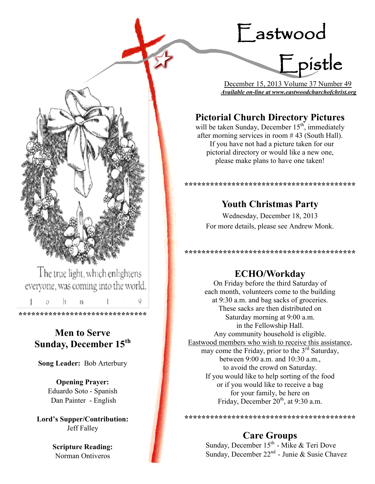# Eastwood



 December 15, 2013 Volume 37 Number 49 *Available on-line at www.eastwoodchurchofchrist.org*

## **Pictorial Church Directory Pictures**

will be taken Sunday, December  $15<sup>th</sup>$ , immediately after morning services in room # 43 (South Hall). If you have not had a picture taken for our pictorial directory or would like a new one, please make plans to have one taken!

**\*\*\*\*\*\*\*\*\*\*\*\*\*\*\*\*\*\*\*\*\*\*\*\*\*\*\*\*\*\*\*\*\*\*\*\*\*\*\*\***

## **Youth Christmas Party**

Wednesday, December 18, 2013 For more details, please see Andrew Monk.

**\*\*\*\*\*\*\*\*\*\*\*\*\*\*\*\*\*\*\*\*\*\*\*\*\*\*\*\*\*\*\*\*\*\*\*\*\*\*\*\***

### **ECHO/Workday**

On Friday before the third Saturday of each month, volunteers come to the building at 9:30 a.m. and bag sacks of groceries. These sacks are then distributed on Saturday morning at 9:00 a.m. in the Fellowship Hall. Any community household is eligible. Eastwood members who wish to receive this assistance, may come the Friday, prior to the  $3<sup>rd</sup>$  Saturday, between 9:00 a.m. and 10:30 a.m., to avoid the crowd on Saturday. If you would like to help sorting of the food or if you would like to receive a bag for your family, be here on Friday, December  $20<sup>th</sup>$ , at 9:30 a.m.

\*\*\*\*\*\*\*\*\*\*\*\*\*\*\*\*\*\*\*\*\*\*\*\*\*\*\*\*\*\*\*\*\*\*\*\*\*

## **Care Groups**

Sunday, December  $15<sup>th</sup>$  - Mike & Teri Dove Sunday, December  $22^{nd}$  - Junie & Susie Chavez



The true light, which enlightens everyone, was coming into the world.

h  $\mathbf{n}$  $\circ$ **\*\*\*\*\*\*\*\*\*\*\*\*\*\*\*\*\*\*\*\*\*\*\*\*\*\*\*\*\*\***

## **Men to Serve Sunday, December 15th**

**Song Leader:** Bob Arterbury

**Opening Prayer:** Eduardo Soto - Spanish Dan Painter - English

**Lord's Supper/Contribution:**  Jeff Falley

> **Scripture Reading:**  Norman Ontiveros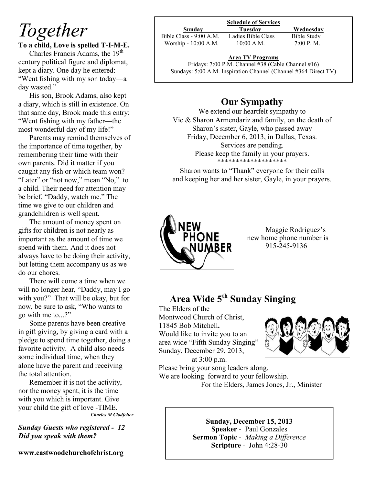## *Together*

**To a child, Love is spelled T-I-M-E.**

Charles Francis Adams, the 19<sup>th</sup> century political figure and diplomat, kept a diary. One day he entered: "Went fishing with my son today—a day wasted."

His son, Brook Adams, also kept a diary, which is still in existence. On that same day, Brook made this entry: "Went fishing with my father—the most wonderful day of my life!"

Parents may remind themselves of the importance of time together, by remembering their time with their own parents. Did it matter if you caught any fish or which team won? "Later" or "not now," mean "No," to a child. Their need for attention may be brief, "Daddy, watch me." The time we give to our children and grandchildren is well spent.

The amount of money spent on gifts for children is not nearly as important as the amount of time we spend with them. And it does not always have to be doing their activity, but letting them accompany us as we do our chores.

There will come a time when we will no longer hear, "Daddy, may I go with you?" That will be okay, but for now, be sure to ask, "Who wants to go with me to...?"

Some parents have been creative in gift giving, by giving a card with a pledge to spend time together, doing a favorite activity. A child also needs some individual time, when they alone have the parent and receiving the total attention.

Remember it is not the activity, nor the money spent, it is the time with you which is important. Give your child the gift of love -TIME. *Charles M Clodfelter*

*Sunday Guests who registered - 12 Did you speak with them?*

**www.eastwoodchurchofchrist.org**

#### **Schedule of Services**

Bible Class - 9:00 A.M. Ladies Bible Class Bible Study Worship - 10:00 A.M. 10:00 A.M. 7:00 P.M.

**Sunday Tuesday Wednesday**

#### **Area TV Programs**

Area TV Programs<br>Fridays: 7:00 P.M. Channel #38 (Cable Channel #16) Sundays: 5:00 A.M. Inspiration Channel (Channel #364 Direct TV)

### **Our Sympathy**

We extend our heartfelt sympathy to Vic & Sharon Armendariz and family, on the death of Sharon's sister, Gayle, who passed away Friday, December 6, 2013, in Dallas, Texas. Services are pending. Please keep the family in your prayers. \*\*\*\*\*\*\*\*\*\*\*\*

Sharon wants to "Thank" everyone for their calls and keeping her and her sister, Gayle, in your prayers.



 Maggie Rodriguez's new home phone number is 915-245-9136

## **Area Wide 5th Sunday Singing**

The Elders of the Montwood Church of Christ, 11845 Bob Mitchell**.**  Would like to invite you to an area wide "Fifth Sunday Singing" Sunday, December 29, 2013,



at 3:00 p.m. Please bring your song leaders along. We are looking forward to your fellowship. For the Elders, James Jones, Jr., Minister

> **Sunday, December 15, 2013 Speaker** - Paul Gonzales **Sermon Topic** - *Making a Difference* **Scripture** - John 4:28-30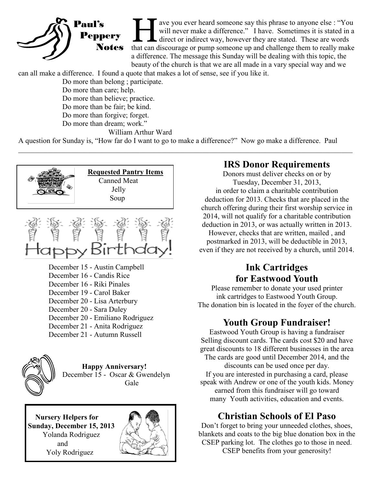

T ave you ever heard someone say this phrase to anyone else : "You will never make a difference." I have. Sometimes it is stated in a direct or indirect way, however they are stated. These are words that can discourage or ave you ever heard someone say this phrase to anyone else : "You will never make a difference." I have. Sometimes it is stated in a I direct or indirect way, however they are stated. These are words a difference. The message this Sunday will be dealing with this topic, the beauty of the church is that we are all made in a vary special way and we

can all make a difference. I found a quote that makes a lot of sense, see if you like it.

Do more than belong ; participate.

 Do more than care; help. Do more than believe; practice. Do more than be fair; be kind. Do more than forgive; forget. Do more than dream; work."

William Arthur Ward

A question for Sunday is, "How far do I want to go to make a difference?" Now go make a difference. Paul

 $\_$  , and the contribution of the contribution of the contribution of the contribution of the contribution of  $\mathcal{L}_\text{max}$ 





December 15 - Austin Campbell December 16 - Candis Rice December 16 - Riki Pinales December 19 - Carol Baker December 20 - Lisa Arterbury December 20 - Sara Duley December 20 - Emiliano Rodriguez December 21 - Anita Rodriguez December 21 - Autumn Russell



**Happy Anniversary!** December 15 - Oscar & Gwendelyn Gale

 **Nursery Helpers for Sunday, December 15, 2013** Yolanda Rodriguez and Yoly Rodriguez



### **IRS Donor Requirements**

Donors must deliver checks on or by Tuesday, December 31, 2013, in order to claim a charitable contribution deduction for 2013. Checks that are placed in the church offering during their first worship service in 2014, will not qualify for a charitable contribution deduction in 2013, or was actually written in 2013. However, checks that are written, mailed , and postmarked in 2013, will be deductible in 2013, even if they are not received by a church, until 2014.

## **Ink Cartridges for Eastwood Youth**

Please remember to donate your used printer ink cartridges to Eastwood Youth Group. The donation bin is located in the foyer of the church.

## **Youth Group Fundraiser!**

Eastwood Youth Group is having a fundraiser Selling discount cards. The cards cost \$20 and have great discounts to 18 different businesses in the area The cards are good until December 2014, and the discounts can be used once per day. If you are interested in purchasing a card, please speak with Andrew or one of the youth kids. Money earned from this fundraiser will go toward many Youth activities, education and events.

## **Christian Schools of El Paso**

Don't forget to bring your unneeded clothes, shoes, blankets and coats to the big blue donation box in the CSEP parking lot. The clothes go to those in need. CSEP benefits from your generosity!